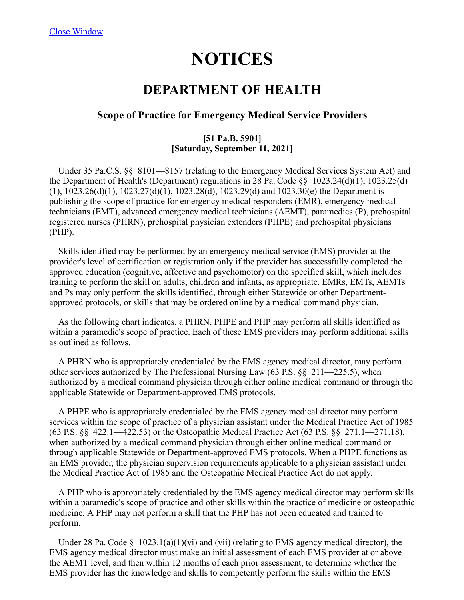# **NOTICES**

## **DEPARTMENT OF HEALTH**

#### **Scope of Practice for Emergency Medical Service Providers**

#### **[51 Pa.B. 5901] [Saturday, September 11, 2021]**

 Under 35 Pa.C.S. §§ 8101—8157 (relating to the Emergency Medical Services System Act) and the Department of Health's (Department) regulations in 28 Pa. Code  $\S$  1023.24(d)(1), 1023.25(d) (1), 1023.26(d)(1), 1023.27(d)(1), 1023.28(d), 1023.29(d) and 1023.30(e) the Department is publishing the scope of practice for emergency medical responders (EMR), emergency medical technicians (EMT), advanced emergency medical technicians (AEMT), paramedics (P), prehospital registered nurses (PHRN), prehospital physician extenders (PHPE) and prehospital physicians (PHP).

 Skills identified may be performed by an emergency medical service (EMS) provider at the provider's level of certification or registration only if the provider has successfully completed the approved education (cognitive, affective and psychomotor) on the specified skill, which includes training to perform the skill on adults, children and infants, as appropriate. EMRs, EMTs, AEMTs and Ps may only perform the skills identified, through either Statewide or other Departmentapproved protocols, or skills that may be ordered online by a medical command physician.

 As the following chart indicates, a PHRN, PHPE and PHP may perform all skills identified as within a paramedic's scope of practice. Each of these EMS providers may perform additional skills as outlined as follows.

 A PHRN who is appropriately credentialed by the EMS agency medical director, may perform other services authorized by The Professional Nursing Law (63 P.S. §§ 211—225.5), when authorized by a medical command physician through either online medical command or through the applicable Statewide or Department-approved EMS protocols.

 A PHPE who is appropriately credentialed by the EMS agency medical director may perform services within the scope of practice of a physician assistant under the Medical Practice Act of 1985 (63 P.S. §§ 422.1—422.53) or the Osteopathic Medical Practice Act (63 P.S. §§ 271.1—271.18), when authorized by a medical command physician through either online medical command or through applicable Statewide or Department-approved EMS protocols. When a PHPE functions as an EMS provider, the physician supervision requirements applicable to a physician assistant under the Medical Practice Act of 1985 and the Osteopathic Medical Practice Act do not apply.

 A PHP who is appropriately credentialed by the EMS agency medical director may perform skills within a paramedic's scope of practice and other skills within the practice of medicine or osteopathic medicine. A PHP may not perform a skill that the PHP has not been educated and trained to perform.

Under 28 Pa. Code  $\S$  1023.1(a)(1)(vi) and (vii) (relating to EMS agency medical director), the EMS agency medical director must make an initial assessment of each EMS provider at or above the AEMT level, and then within 12 months of each prior assessment, to determine whether the EMS provider has the knowledge and skills to competently perform the skills within the EMS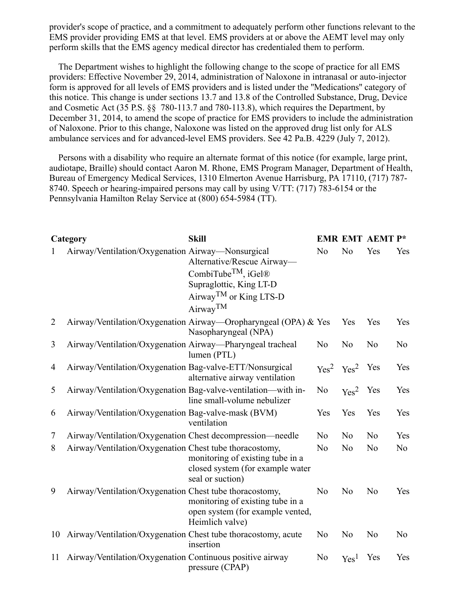provider's scope of practice, and a commitment to adequately perform other functions relevant to the EMS provider providing EMS at that level. EMS providers at or above the AEMT level may only perform skills that the EMS agency medical director has credentialed them to perform.

 The Department wishes to highlight the following change to the scope of practice for all EMS providers: Effective November 29, 2014, administration of Naloxone in intranasal or auto-injector form is approved for all levels of EMS providers and is listed under the ''Medications'' category of this notice. This change is under sections 13.7 and 13.8 of the Controlled Substance, Drug, Device and Cosmetic Act (35 P.S. §§ 780-113.7 and 780-113.8), which requires the Department, by December 31, 2014, to amend the scope of practice for EMS providers to include the administration of Naloxone. Prior to this change, Naloxone was listed on the approved drug list only for ALS ambulance services and for advanced-level EMS providers. See 42 Pa.B. 4229 (July 7, 2012).

 Persons with a disability who require an alternate format of this notice (for example, large print, audiotape, Braille) should contact Aaron M. Rhone, EMS Program Manager, Department of Health, Bureau of Emergency Medical Services, 1310 Elmerton Avenue Harrisburg, PA 17110, (717) 787- 8740. Speech or hearing-impaired persons may call by using V/TT: (717) 783-6154 or the Pennsylvania Hamilton Relay Service at (800) 654-5984 (TT).

|                | Category                                                      | <b>Skill</b>                                                                                                                                                       |                |                                       | <b>EMR EMT AEMT P*</b> |                |
|----------------|---------------------------------------------------------------|--------------------------------------------------------------------------------------------------------------------------------------------------------------------|----------------|---------------------------------------|------------------------|----------------|
| 1              | Airway/Ventilation/Oxygenation Airway—Nonsurgical             | Alternative/Rescue Airway-<br>CombiTube <sup>TM</sup> , iGel <sup>®</sup><br>Supraglottic, King LT-D<br>Airway <sup>TM</sup> or King LTS-D<br>Airway <sup>TM</sup> | N <sub>o</sub> | N <sub>o</sub>                        | Yes                    | Yes            |
| $\overline{2}$ |                                                               | Airway/Ventilation/Oxygenation Airway—Oropharyngeal (OPA) & Yes<br>Nasopharyngeal (NPA)                                                                            |                | Yes                                   | Yes                    | Yes            |
| 3              | Airway/Ventilation/Oxygenation Airway-Pharyngeal tracheal     | lumen (PTL)                                                                                                                                                        | N <sub>o</sub> | N <sub>o</sub>                        | N <sub>o</sub>         | N <sub>o</sub> |
| 4              | Airway/Ventilation/Oxygenation Bag-valve-ETT/Nonsurgical      | alternative airway ventilation                                                                                                                                     |                | Yes <sup>2</sup> Yes <sup>2</sup> Yes |                        | Yes            |
| 5              | Airway/Ventilation/Oxygenation Bag-valve-ventilation—with in- | line small-volume nebulizer                                                                                                                                        | N <sub>o</sub> | Yes <sup>2</sup> Yes                  |                        | <b>Yes</b>     |
| 6              | Airway/Ventilation/Oxygenation Bag-valve-mask (BVM)           | ventilation                                                                                                                                                        | Yes            | Yes                                   | Yes                    | Yes            |
| $\tau$         | Airway/Ventilation/Oxygenation Chest decompression—needle     |                                                                                                                                                                    | N <sub>o</sub> | No                                    | No                     | Yes            |
| 8              | Airway/Ventilation/Oxygenation Chest tube thoracostomy,       | monitoring of existing tube in a<br>closed system (for example water<br>seal or suction)                                                                           | No             | N <sub>o</sub>                        | N <sub>o</sub>         | No             |
| 9              | Airway/Ventilation/Oxygenation Chest tube thoracostomy,       | monitoring of existing tube in a<br>open system (for example vented,<br>Heimlich valve)                                                                            | N <sub>o</sub> | N <sub>o</sub>                        | N <sub>o</sub>         | Yes            |
| 10             | Airway/Ventilation/Oxygenation Chest tube thoracostomy, acute | insertion                                                                                                                                                          | N <sub>o</sub> | N <sub>o</sub>                        | N <sub>o</sub>         | N <sub>o</sub> |
| 11             | Airway/Ventilation/Oxygenation Continuous positive airway     | pressure (CPAP)                                                                                                                                                    | No             | Yes <sup>1</sup>                      | Yes                    | Yes            |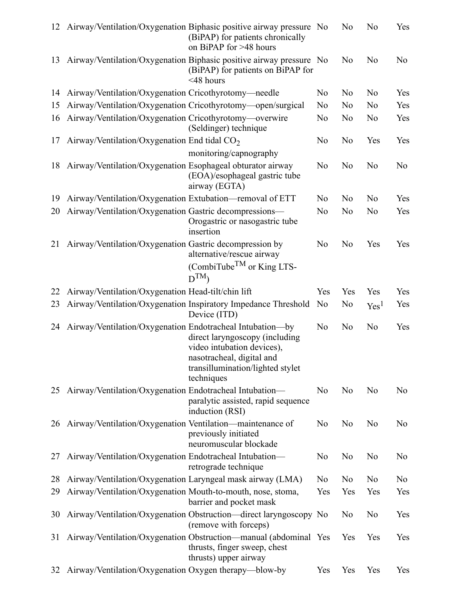| 12 |                                                             | Airway/Ventilation/Oxygenation Biphasic positive airway pressure No<br>(BiPAP) for patients chronically<br>on BiPAP for >48 hours           |                | N <sub>o</sub> | No               | Yes            |
|----|-------------------------------------------------------------|---------------------------------------------------------------------------------------------------------------------------------------------|----------------|----------------|------------------|----------------|
| 13 |                                                             | Airway/Ventilation/Oxygenation Biphasic positive airway pressure No<br>(BiPAP) for patients on BiPAP for<br>$<$ 48 hours                    |                | N <sub>o</sub> | No               | No             |
| 14 | Airway/Ventilation/Oxygenation Cricothyrotomy-needle        |                                                                                                                                             | No             | N <sub>o</sub> | N <sub>o</sub>   | Yes            |
| 15 | Airway/Ventilation/Oxygenation Cricothyrotomy—open/surgical |                                                                                                                                             | N <sub>o</sub> | No             | N <sub>o</sub>   | Yes            |
| 16 | Airway/Ventilation/Oxygenation Cricothyrotomy—overwire      | (Seldinger) technique                                                                                                                       | No             | N <sub>o</sub> | N <sub>o</sub>   | Yes            |
| 17 | Airway/Ventilation/Oxygenation End tidal $CO2$              |                                                                                                                                             | No             | N <sub>o</sub> | Yes              | Yes            |
|    |                                                             | monitoring/capnography                                                                                                                      |                |                |                  |                |
| 18 | Airway/Ventilation/Oxygenation Esophageal obturator airway  | (EOA)/esophageal gastric tube<br>airway (EGTA)                                                                                              | N <sub>o</sub> | No             | No               | No             |
| 19 | Airway/Ventilation/Oxygenation Extubation—removal of ETT    |                                                                                                                                             | N <sub>o</sub> | N <sub>o</sub> | N <sub>o</sub>   | Yes            |
| 20 | Airway/Ventilation/Oxygenation Gastric decompressions-      | Orogastric or nasogastric tube<br>insertion                                                                                                 | No             | N <sub>o</sub> | No               | Yes            |
| 21 | Airway/Ventilation/Oxygenation Gastric decompression by     | alternative/rescue airway<br>(CombiTube <sup>TM</sup> or King LTS-<br>$D^{TM}$                                                              | No             | N <sub>o</sub> | Yes              | Yes            |
| 22 | Airway/Ventilation/Oxygenation Head-tilt/chin lift          |                                                                                                                                             | Yes            | Yes            | Yes              | Yes            |
| 23 |                                                             | Airway/Ventilation/Oxygenation Inspiratory Impedance Threshold<br>Device (ITD)                                                              | No             | N <sub>o</sub> | Yes <sup>1</sup> | Yes            |
| 24 | Airway/Ventilation/Oxygenation Endotracheal Intubation-by   | direct laryngoscopy (including<br>video intubation devices),<br>nasotracheal, digital and<br>transillumination/lighted stylet<br>techniques | N <sub>o</sub> | N <sub>o</sub> | No               | Yes            |
| 25 | Airway/Ventilation/Oxygenation Endotracheal Intubation-     | paralytic assisted, rapid sequence<br>induction (RSI)                                                                                       | No             | N <sub>o</sub> | No               | N <sub>o</sub> |
| 26 | Airway/Ventilation/Oxygenation Ventilation-maintenance of   | previously initiated<br>neuromuscular blockade                                                                                              | N <sub>o</sub> | No             | N <sub>o</sub>   | No             |
| 27 | Airway/Ventilation/Oxygenation Endotracheal Intubation-     | retrograde technique                                                                                                                        | No             | No             | No               | No             |
| 28 | Airway/Ventilation/Oxygenation Laryngeal mask airway (LMA)  |                                                                                                                                             | No             | No             | No               | No             |
| 29 | Airway/Ventilation/Oxygenation Mouth-to-mouth, nose, stoma, | barrier and pocket mask                                                                                                                     | Yes            | Yes            | Yes              | Yes            |
| 30 |                                                             | Airway/Ventilation/Oxygenation Obstruction—direct laryngoscopy No<br>(remove with forceps)                                                  |                | No             | No               | Yes            |
| 31 |                                                             | Airway/Ventilation/Oxygenation Obstruction—manual (abdominal Yes<br>thrusts, finger sweep, chest<br>thrusts) upper airway                   |                | Yes            | Yes              | Yes            |
| 32 | Airway/Ventilation/Oxygenation Oxygen therapy—blow-by       |                                                                                                                                             | Yes            | Yes            | Yes              | Yes            |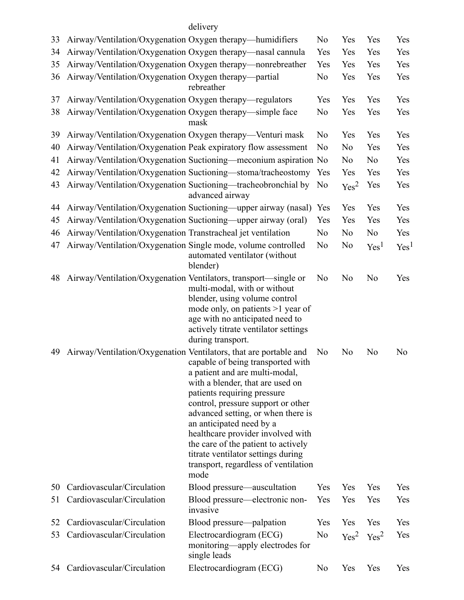### delivery

| 33 | Airway/Ventilation/Oxygenation Oxygen therapy—humidifiers       |                                                                                                                                                                                                                                                                                                                                                                                                                                                                                       | N <sub>o</sub> | Yes                               | Yes              | Yes              |
|----|-----------------------------------------------------------------|---------------------------------------------------------------------------------------------------------------------------------------------------------------------------------------------------------------------------------------------------------------------------------------------------------------------------------------------------------------------------------------------------------------------------------------------------------------------------------------|----------------|-----------------------------------|------------------|------------------|
| 34 | Airway/Ventilation/Oxygenation Oxygen therapy—nasal cannula     |                                                                                                                                                                                                                                                                                                                                                                                                                                                                                       | Yes            | Yes                               | Yes              | Yes              |
| 35 |                                                                 | Airway/Ventilation/Oxygenation Oxygen therapy—nonrebreather                                                                                                                                                                                                                                                                                                                                                                                                                           | Yes            | Yes                               | Yes              | Yes              |
| 36 | Airway/Ventilation/Oxygenation Oxygen therapy—partial           | rebreather                                                                                                                                                                                                                                                                                                                                                                                                                                                                            | N <sub>o</sub> | Yes                               | Yes              | Yes              |
| 37 | Airway/Ventilation/Oxygenation Oxygen therapy—regulators        |                                                                                                                                                                                                                                                                                                                                                                                                                                                                                       | Yes            | Yes                               | Yes              | Yes              |
| 38 | Airway/Ventilation/Oxygenation Oxygen therapy-simple face       | mask                                                                                                                                                                                                                                                                                                                                                                                                                                                                                  | N <sub>o</sub> | Yes                               | Yes              | Yes              |
| 39 | Airway/Ventilation/Oxygenation Oxygen therapy-Venturi mask      |                                                                                                                                                                                                                                                                                                                                                                                                                                                                                       | No             | Yes                               | Yes              | Yes              |
| 40 |                                                                 | Airway/Ventilation/Oxygenation Peak expiratory flow assessment                                                                                                                                                                                                                                                                                                                                                                                                                        | No             | N <sub>o</sub>                    | Yes              | Yes              |
| 41 |                                                                 | Airway/Ventilation/Oxygenation Suctioning—meconium aspiration No                                                                                                                                                                                                                                                                                                                                                                                                                      |                | No                                | No               | Yes              |
| 42 |                                                                 | Airway/Ventilation/Oxygenation Suctioning—stoma/tracheostomy                                                                                                                                                                                                                                                                                                                                                                                                                          | Yes            | Yes                               | Yes              | Yes              |
| 43 |                                                                 | Airway/Ventilation/Oxygenation Suctioning—tracheobronchial by<br>advanced airway                                                                                                                                                                                                                                                                                                                                                                                                      | N <sub>o</sub> | Yes <sup>2</sup>                  | Yes              | Yes              |
| 44 |                                                                 | Airway/Ventilation/Oxygenation Suctioning—upper airway (nasal)                                                                                                                                                                                                                                                                                                                                                                                                                        | Yes            | Yes                               | Yes              | Yes              |
| 45 |                                                                 | Airway/Ventilation/Oxygenation Suctioning—upper airway (oral)                                                                                                                                                                                                                                                                                                                                                                                                                         | Yes            | Yes                               | Yes              | Yes              |
| 46 | Airway/Ventilation/Oxygenation Transtracheal jet ventilation    |                                                                                                                                                                                                                                                                                                                                                                                                                                                                                       | N <sub>o</sub> | N <sub>o</sub>                    | No               | Yes              |
| 47 | Airway/Ventilation/Oxygenation Single mode, volume controlled   | automated ventilator (without<br>blender)                                                                                                                                                                                                                                                                                                                                                                                                                                             | No             | N <sub>o</sub>                    | Yes <sup>1</sup> | Yes <sup>1</sup> |
| 48 | Airway/Ventilation/Oxygenation Ventilators, transport—single or | multi-modal, with or without<br>blender, using volume control<br>mode only, on patients $>1$ year of<br>age with no anticipated need to<br>actively titrate ventilator settings<br>during transport.                                                                                                                                                                                                                                                                                  | No             | No                                | N <sub>o</sub>   | Yes              |
| 49 |                                                                 | Airway/Ventilation/Oxygenation Ventilators, that are portable and<br>capable of being transported with<br>a patient and are multi-modal,<br>with a blender, that are used on<br>patients requiring pressure<br>control, pressure support or other<br>advanced setting, or when there is<br>an anticipated need by a<br>healthcare provider involved with<br>the care of the patient to actively<br>titrate ventilator settings during<br>transport, regardless of ventilation<br>mode | No             | N <sub>o</sub>                    | No               | No               |
| 50 | Cardiovascular/Circulation                                      | Blood pressure—auscultation                                                                                                                                                                                                                                                                                                                                                                                                                                                           | Yes            | Yes                               | Yes              | Yes              |
| 51 | Cardiovascular/Circulation                                      | Blood pressure—electronic non-<br>invasive                                                                                                                                                                                                                                                                                                                                                                                                                                            | Yes            | Yes                               | Yes              | Yes              |
| 52 | Cardiovascular/Circulation                                      | Blood pressure—palpation                                                                                                                                                                                                                                                                                                                                                                                                                                                              | Yes            | Yes                               | Yes              | Yes              |
| 53 | Cardiovascular/Circulation                                      | Electrocardiogram (ECG)<br>monitoring—apply electrodes for<br>single leads                                                                                                                                                                                                                                                                                                                                                                                                            | No             | Yes <sup>2</sup> Yes <sup>2</sup> |                  | Yes              |
|    | 54 Cardiovascular/Circulation                                   | Electrocardiogram (ECG)                                                                                                                                                                                                                                                                                                                                                                                                                                                               | N <sub>o</sub> | Yes                               | Yes              | Yes              |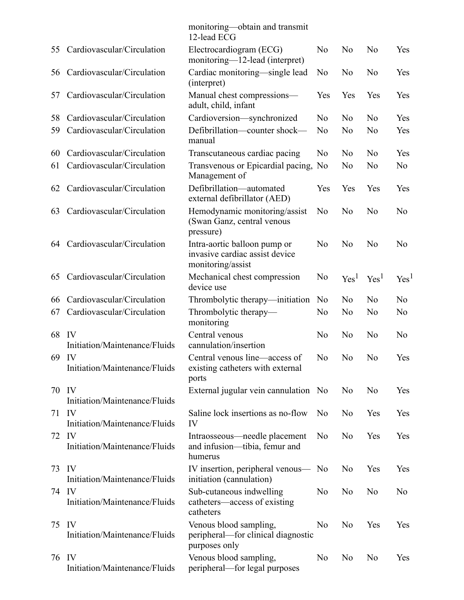|         |                                        | monitoring—obtain and transmit<br>12-lead ECG                                       |                |                  |                  |                  |
|---------|----------------------------------------|-------------------------------------------------------------------------------------|----------------|------------------|------------------|------------------|
| 55      | Cardiovascular/Circulation             | Electrocardiogram (ECG)<br>monitoring-12-lead (interpret)                           | N <sub>o</sub> | N <sub>o</sub>   | N <sub>o</sub>   | Yes              |
| 56      | Cardiovascular/Circulation             | Cardiac monitoring—single lead<br>(interpret)                                       | No             | No               | N <sub>o</sub>   | Yes              |
| 57      | Cardiovascular/Circulation             | Manual chest compressions-<br>adult, child, infant                                  | Yes            | Yes              | Yes              | Yes              |
| 58      | Cardiovascular/Circulation             | Cardioversion-synchronized                                                          | N <sub>o</sub> | N <sub>o</sub>   | No               | Yes              |
| 59      | Cardiovascular/Circulation             | Defibrillation-counter shock-<br>manual                                             | N <sub>o</sub> | N <sub>o</sub>   | N <sub>o</sub>   | Yes              |
| 60      | Cardiovascular/Circulation             | Transcutaneous cardiac pacing                                                       | No             | No               | No               | Yes              |
| 61      | Cardiovascular/Circulation             | Transvenous or Epicardial pacing, No<br>Management of                               |                | N <sub>o</sub>   | N <sub>o</sub>   | No               |
| 62      | Cardiovascular/Circulation             | Defibrillation-automated<br>external defibrillator (AED)                            | Yes            | Yes              | Yes              | Yes              |
| 63      | Cardiovascular/Circulation             | Hemodynamic monitoring/assist<br>(Swan Ganz, central venous<br>pressure)            | No             | N <sub>o</sub>   | N <sub>o</sub>   | No               |
| 64      | Cardiovascular/Circulation             | Intra-aortic balloon pump or<br>invasive cardiac assist device<br>monitoring/assist | No             | No               | No               | N <sub>o</sub>   |
| 65      | Cardiovascular/Circulation             | Mechanical chest compression<br>device use                                          | No             | Yes <sup>1</sup> | Yes <sup>1</sup> | Yes <sup>1</sup> |
| 66      | Cardiovascular/Circulation             | Thrombolytic therapy—initiation                                                     | N <sub>o</sub> | N <sub>o</sub>   | N <sub>o</sub>   | N <sub>o</sub>   |
| 67      | Cardiovascular/Circulation             | Thrombolytic therapy-<br>monitoring                                                 | No             | N <sub>o</sub>   | No               | No               |
| 68      | IV<br>Initiation/Maintenance/Fluids    | Central venous<br>cannulation/insertion                                             | N <sub>o</sub> | No               | N <sub>o</sub>   | No               |
|         | 69 IV<br>Initiation/Maintenance/Fluids | Central venous line—access of<br>existing catheters with external<br>ports          | No             | N <sub>o</sub>   | No               | Yes              |
|         | 70 IV<br>Initiation/Maintenance/Fluids | External jugular vein cannulation No                                                |                | No               | No               | Yes              |
| $71$ IV | Initiation/Maintenance/Fluids          | Saline lock insertions as no-flow<br>IV                                             | N <sub>o</sub> | No               | Yes              | Yes              |
| 72 IV   | Initiation/Maintenance/Fluids          | Intraosseous—needle placement<br>and infusion—tibia, femur and<br>humerus           | No             | No               | Yes              | Yes              |
| 73      | IV<br>Initiation/Maintenance/Fluids    | IV insertion, peripheral venous—<br>initiation (cannulation)                        | No             | No               | Yes              | Yes              |
|         | 74 IV<br>Initiation/Maintenance/Fluids | Sub-cutaneous indwelling<br>catheters—access of existing<br>catheters               | No             | N <sub>o</sub>   | No               | N <sub>o</sub>   |
| 75      | IV<br>Initiation/Maintenance/Fluids    | Venous blood sampling,<br>peripheral—for clinical diagnostic<br>purposes only       | No             | No               | Yes              | Yes              |
|         | 76 IV<br>Initiation/Maintenance/Fluids | Venous blood sampling,<br>peripheral-for legal purposes                             | No             | No               | No               | Yes              |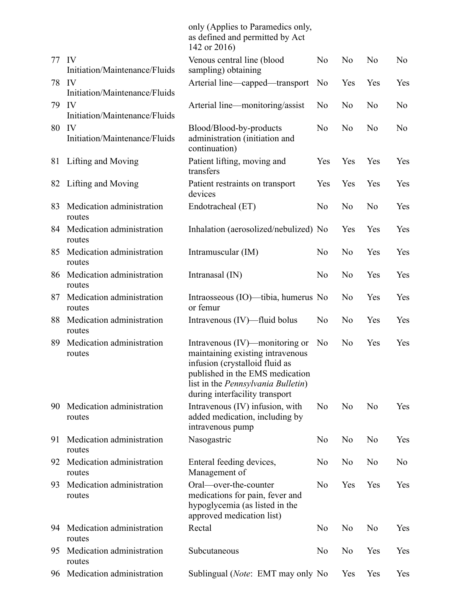|       |                                     | only (Applies to Paramedics only,<br>as defined and permitted by Act<br>142 or 2016)                                                                                                                                    |                |                |                |                |
|-------|-------------------------------------|-------------------------------------------------------------------------------------------------------------------------------------------------------------------------------------------------------------------------|----------------|----------------|----------------|----------------|
| 77 IV | Initiation/Maintenance/Fluids       | Venous central line (blood<br>sampling) obtaining                                                                                                                                                                       | N <sub>o</sub> | N <sub>o</sub> | N <sub>o</sub> | No             |
| 78    | IV<br>Initiation/Maintenance/Fluids | Arterial line—capped—transport                                                                                                                                                                                          | N <sub>o</sub> | Yes            | Yes            | Yes            |
| 79    | IV<br>Initiation/Maintenance/Fluids | Arterial line—monitoring/assist                                                                                                                                                                                         | N <sub>o</sub> | N <sub>o</sub> | N <sub>o</sub> | N <sub>o</sub> |
| 80    | IV<br>Initiation/Maintenance/Fluids | Blood/Blood-by-products<br>administration (initiation and<br>continuation)                                                                                                                                              | N <sub>o</sub> | N <sub>o</sub> | N <sub>o</sub> | No             |
|       | 81 Lifting and Moving               | Patient lifting, moving and<br>transfers                                                                                                                                                                                | Yes            | Yes            | Yes            | Yes            |
| 82    | Lifting and Moving                  | Patient restraints on transport<br>devices                                                                                                                                                                              | Yes            | Yes            | Yes            | Yes            |
| 83    | Medication administration<br>routes | Endotracheal (ET)                                                                                                                                                                                                       | N <sub>o</sub> | No             | N <sub>o</sub> | Yes            |
| 84    | Medication administration<br>routes | Inhalation (aerosolized/nebulized) No                                                                                                                                                                                   |                | Yes            | Yes            | Yes            |
| 85    | Medication administration<br>routes | Intramuscular (IM)                                                                                                                                                                                                      | N <sub>o</sub> | No             | Yes            | Yes            |
| 86    | Medication administration<br>routes | Intranasal $(IN)$                                                                                                                                                                                                       | N <sub>o</sub> | N <sub>o</sub> | Yes            | Yes            |
| 87    | Medication administration<br>routes | Intraosseous (IO)—tibia, humerus No<br>or femur                                                                                                                                                                         |                | N <sub>o</sub> | Yes            | Yes            |
| 88    | Medication administration<br>routes | Intravenous (IV)—fluid bolus                                                                                                                                                                                            | N <sub>o</sub> | N <sub>o</sub> | Yes            | Yes            |
| 89    | Medication administration<br>routes | Intravenous (IV)—monitoring or<br>maintaining existing intravenous<br>infusion (crystalloid fluid as<br>published in the EMS medication<br>list in the <i>Pennsylvania Bulletin</i> )<br>during interfacility transport | No             | N <sub>o</sub> | Yes            | Yes            |
| 90    | Medication administration<br>routes | Intravenous (IV) infusion, with<br>added medication, including by<br>intravenous pump                                                                                                                                   | N <sub>o</sub> | N <sub>o</sub> | N <sub>o</sub> | Yes            |
| 91    | Medication administration<br>routes | Nasogastric                                                                                                                                                                                                             | N <sub>o</sub> | No             | N <sub>o</sub> | Yes            |
| 92    | Medication administration<br>routes | Enteral feeding devices,<br>Management of                                                                                                                                                                               | No             | No             | N <sub>o</sub> | No             |
| 93    | Medication administration<br>routes | Oral-over-the-counter<br>medications for pain, fever and<br>hypoglycemia (as listed in the<br>approved medication list)                                                                                                 | N <sub>o</sub> | Yes            | Yes            | Yes            |
| 94    | Medication administration<br>routes | Rectal                                                                                                                                                                                                                  | No             | No             | N <sub>o</sub> | Yes            |
| 95    | Medication administration<br>routes | Subcutaneous                                                                                                                                                                                                            | N <sub>o</sub> | No             | Yes            | <b>Yes</b>     |
| 96    | Medication administration           | Sublingual ( <i>Note</i> : EMT may only No                                                                                                                                                                              |                | Yes            | Yes            | Yes            |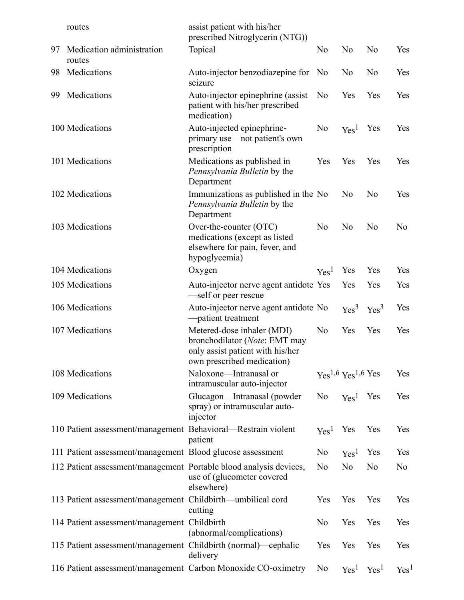|    | routes                                                             | assist patient with his/her<br>prescribed Nitroglycerin (NTG))                                                                |                      |                      |                  |                  |
|----|--------------------------------------------------------------------|-------------------------------------------------------------------------------------------------------------------------------|----------------------|----------------------|------------------|------------------|
| 97 | Medication administration<br>routes                                | Topical                                                                                                                       | No                   | No                   | N <sub>o</sub>   | Yes              |
| 98 | Medications                                                        | Auto-injector benzodiazepine for<br>seizure                                                                                   | N <sub>0</sub>       | No                   | N <sub>o</sub>   | Yes              |
| 99 | Medications                                                        | Auto-injector epinephrine (assist<br>patient with his/her prescribed<br>medication)                                           | No                   | Yes                  | Yes              | Yes              |
|    | 100 Medications                                                    | Auto-injected epinephrine-<br>primary use—not patient's own<br>prescription                                                   | No                   | Yes <sup>1</sup>     | Yes              | Yes              |
|    | 101 Medications                                                    | Medications as published in<br>Pennsylvania Bulletin by the<br>Department                                                     | Yes                  | Yes                  | Yes              | Yes              |
|    | 102 Medications                                                    | Immunizations as published in the No<br>Pennsylvania Bulletin by the<br>Department                                            |                      | No                   | No               | Yes              |
|    | 103 Medications                                                    | Over-the-counter (OTC)<br>medications (except as listed<br>elsewhere for pain, fever, and<br>hypoglycemia)                    | No                   | No                   | No               | No               |
|    | 104 Medications                                                    | Oxygen                                                                                                                        | Yes <sup>1</sup>     | Yes                  | Yes              | Yes              |
|    | 105 Medications                                                    | Auto-injector nerve agent antidote Yes<br>self or peer rescue                                                                 |                      | Yes                  | Yes              | Yes              |
|    | 106 Medications                                                    | Auto-injector nerve agent antidote No<br>-patient treatment                                                                   |                      | Yes <sup>3</sup>     | Yes <sup>3</sup> | Yes              |
|    | 107 Medications                                                    | Metered-dose inhaler (MDI)<br>bronchodilator (Note: EMT may<br>only assist patient with his/her<br>own prescribed medication) | No                   | Yes                  | Yes              | Yes              |
|    | 108 Medications                                                    | Naloxone-Intranasal or<br>intramuscular auto-injector                                                                         |                      | $Yes1,6 Yes1,6 Yes$  |                  | Yes              |
|    | 109 Medications                                                    | Glucagon-Intranasal (powder<br>spray) or intramuscular auto-<br>injector                                                      | No                   | Yes <sup>1</sup> Yes |                  | Yes              |
|    | 110 Patient assessment/management Behavioral-Restrain violent      | patient                                                                                                                       | Yes <sup>1</sup> Yes |                      | Yes              | Yes              |
|    | 111 Patient assessment/management Blood glucose assessment         |                                                                                                                               | No                   | Yes <sup>1</sup>     | Yes              | Yes              |
|    | 112 Patient assessment/management Portable blood analysis devices, | use of (glucometer covered<br>elsewhere)                                                                                      | N <sub>o</sub>       | No                   | No               | No               |
|    | 113 Patient assessment/management Childbirth-umbilical cord        | cutting                                                                                                                       | Yes                  | Yes                  | Yes              | Yes              |
|    | 114 Patient assessment/management Childbirth                       | (abnormal/complications)                                                                                                      | No                   | Yes                  | Yes              | Yes              |
|    | 115 Patient assessment/management Childbirth (normal)—cephalic     | delivery                                                                                                                      | Yes                  | Yes                  | Yes              | Yes              |
|    | 116 Patient assessment/management Carbon Monoxide CO-oximetry      |                                                                                                                               | No                   | Yes <sup>1</sup>     | Yes <sup>1</sup> | Yes <sup>1</sup> |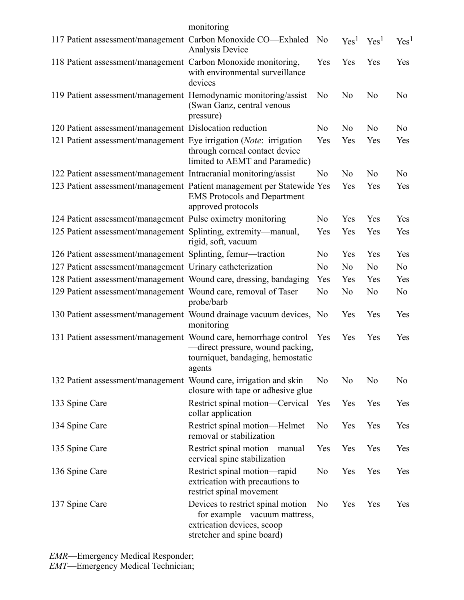|                                                                        | monitoring                                                                                                                     |                |                  |                  |                  |
|------------------------------------------------------------------------|--------------------------------------------------------------------------------------------------------------------------------|----------------|------------------|------------------|------------------|
| 117 Patient assessment/management Carbon Monoxide CO-Exhaled           | Analysis Device                                                                                                                | No             | Yes <sup>1</sup> | Yes <sup>1</sup> | Yes <sup>1</sup> |
| 118 Patient assessment/management Carbon Monoxide monitoring,          | with environmental surveillance<br>devices                                                                                     | Yes            | Yes              | Yes              | Yes              |
| 119 Patient assessment/management Hemodynamic monitoring/assist        | (Swan Ganz, central venous<br>pressure)                                                                                        | No             | No               | N <sub>o</sub>   | No               |
| 120 Patient assessment/management Dislocation reduction                |                                                                                                                                | N <sub>o</sub> | N <sub>o</sub>   | N <sub>o</sub>   | No               |
| 121 Patient assessment/management Eye irrigation (Note: irrigation     | through corneal contact device<br>limited to AEMT and Paramedic)                                                               | Yes            | Yes              | Yes              | Yes              |
| 122 Patient assessment/management Intracranial monitoring/assist       |                                                                                                                                | N <sub>o</sub> | N <sub>o</sub>   | N <sub>o</sub>   | No               |
| 123 Patient assessment/management Patient management per Statewide Yes | <b>EMS</b> Protocols and Department<br>approved protocols                                                                      |                | Yes              | Yes              | Yes              |
| 124 Patient assessment/management Pulse oximetry monitoring            |                                                                                                                                | No             | Yes              | Yes              | Yes              |
| 125 Patient assessment/management Splinting, extremity—manual,         | rigid, soft, vacuum                                                                                                            | Yes            | Yes              | Yes              | Yes              |
| 126 Patient assessment/management Splinting, femur-traction            |                                                                                                                                | No             | Yes              | Yes              | Yes              |
| 127 Patient assessment/management Urinary catheterization              |                                                                                                                                | N <sub>o</sub> | No               | No               | No               |
| 128 Patient assessment/management Wound care, dressing, bandaging      |                                                                                                                                | Yes            | Yes              | Yes              | Yes              |
| 129 Patient assessment/management Wound care, removal of Taser         | probe/barb                                                                                                                     | No             | No               | N <sub>o</sub>   | N <sub>o</sub>   |
| 130 Patient assessment/management Wound drainage vacuum devices, No    | monitoring                                                                                                                     |                | Yes              | Yes              | Yes              |
| 131 Patient assessment/management Wound care, hemorrhage control       | -direct pressure, wound packing,<br>tourniquet, bandaging, hemostatic<br>agents                                                | Yes            | Yes              | Yes              | Yes              |
| 132 Patient assessment/management Wound care, irrigation and skin      | closure with tape or adhesive glue                                                                                             | N <sub>o</sub> | N <sub>o</sub>   | No               | No               |
| 133 Spine Care                                                         | Restrict spinal motion—Cervical Yes<br>collar application                                                                      |                | Yes              | Yes              | Yes              |
| 134 Spine Care                                                         | Restrict spinal motion-Helmet<br>removal or stabilization                                                                      | N <sub>o</sub> | Yes              | Yes              | Yes              |
| 135 Spine Care                                                         | Restrict spinal motion—manual<br>cervical spine stabilization                                                                  | Yes            | Yes              | Yes              | Yes              |
| 136 Spine Care                                                         | Restrict spinal motion—rapid<br>extrication with precautions to<br>restrict spinal movement                                    | N <sub>o</sub> | Yes              | Yes              | Yes              |
| 137 Spine Care                                                         | Devices to restrict spinal motion<br>-for example-vacuum mattress,<br>extrication devices, scoop<br>stretcher and spine board) | N <sub>o</sub> | Yes              | Yes              | Yes              |